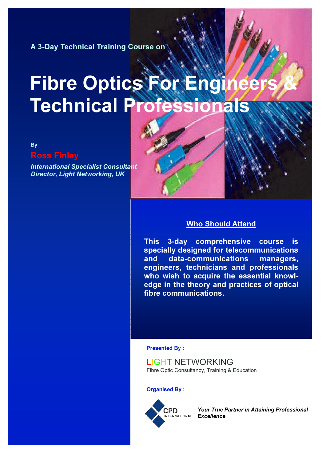A 3-Day Technical Training Course on

# Fibre Optics For Engi **Technical Profes**

By

# Ross Finlay

International Specialist Consultant Director, Light Networking, UK

## Who Should Attend

This 3-day comprehensive course is specially designed for telecommunications and data-communications managers, engineers, technicians and professionals who wish to acquire the essential knowledge in the theory and practices of optical fibre communications.

Presented By :

LIGHT NETWORKING Fibre Optic Consultancy, Training & Education

Organised By :



Your True Partner in Attaining Professional ITERNATIONAL *Excellence*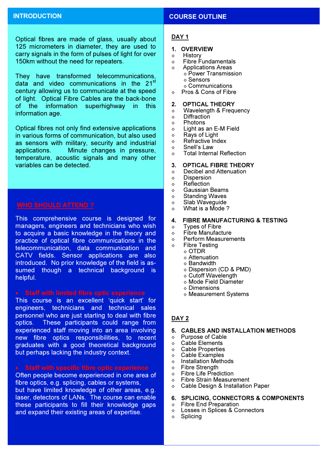Optical fibres are made of glass, usually about 125 micrometers in diameter, they are used to carry signals in the form of pulses of light for over 150km without the need for repeaters.

They have transformed telecommunications, data and video communications in the 21<sup>st</sup> century allowing us to communicate at the speed of light. Optical Fibre Cables are the back-bone of the information superhighway in this information age.

Optical fibres not only find extensive applications in various forms of communication, but also used as sensors with military, security and industrial applications. Minute changes in pressure, temperature, acoustic signals and many other variables can be detected.

 $\overline{1}$ 

This comprehensive course is designed for managers, engineers and technicians who wish to acquire a basic knowledge in the theory and practice of optical fibre communications in the telecommunication, data communication and CATV fields. Sensor applications are also introduced. No prior knowledge of the field is assumed though a technical background is helpful.

This course is an excellent 'quick start' for engineers, technicians and technical sales personnel who are just starting to deal with fibre optics. These participants could range from experienced staff moving into an area involving new fibre optics responsibilities, to recent graduates with a good theoretical background but perhaps lacking the industry context.

Often people become experienced in one area of fibre optics, e.g. splicing, cables or systems, but have limited knowledge of other areas, e.g. laser, detectors of LANs. The course can enable these participants to fill their knowledge gaps and expand their existing areas of expertise.

#### INTRODUCTION **COURSE OUTLINE**

#### DAY<sub>1</sub>

- 1. OVERVIEW
- ◊ History
- ◊ Fibre Fundamentals
- ◊ Applications Areas ◊ Power Transmission ◊ Sensors
	- ◊ Communications
- ◊ Pros & Cons of Fibre
- 2. OPTICAL THEORY
- ◊ Wavelength & Frequency
- ◊ Diffraction
- ◊ Photons
- ◊ Light as an E-M Field
- $\Diamond$  Rays of Light
- ◊ Refractive Index
- ◊ Snell's Law
- ◊ Total Internal Reflection

#### 3. OPTICAL FIBRE THEORY

- ◊ Decibel and Attenuation
- ◊ Dispersion
- ◊ Reflection
- ◊ Gaussian Beams
- ◊ Standing Waves
- $\circ$  Slab Wavequide
- ◊ What is a Mode ?

#### 4. FIBRE MANUFACTURING & TESTING

- ◊ Types of Fibre
- ◊ Fibre Manufacture
- ◊ Perform Measurements
- ◊ Fibre Testing
	- ◊ OTDR
	- ◊ Attenuation
	- ◊ Bandwidth
	- ◊ Dispersion (CD & PMD)
	- ◊ Cutoff Wavelength
	- ◊ Mode Field Diameter
	- ◊ Dimensions
	- ◊ Measurement Systems

### DAY<sub>2</sub>

#### 5. CABLES AND INSTALLATION METHODS

- ◊ Purpose of Cable
- ◊ Cable Elements
- ◊ Cable Properties
- $\Diamond$  Cable Examples
- ◊ Installation Methods
- ◊ Fibre Strength
- ◊ Fibre Life Prediction
- ◊ Fibre Strain Measurement
- ◊ Cable Design & Installation Paper
- 6. SPLICING, CONNECTORS & COMPONENTS<br>  $\diamond$  Fibre End Preparation
- **Fibre End Preparation**
- ◊ Losses in Splices & Connectors
- ◊ Splicing